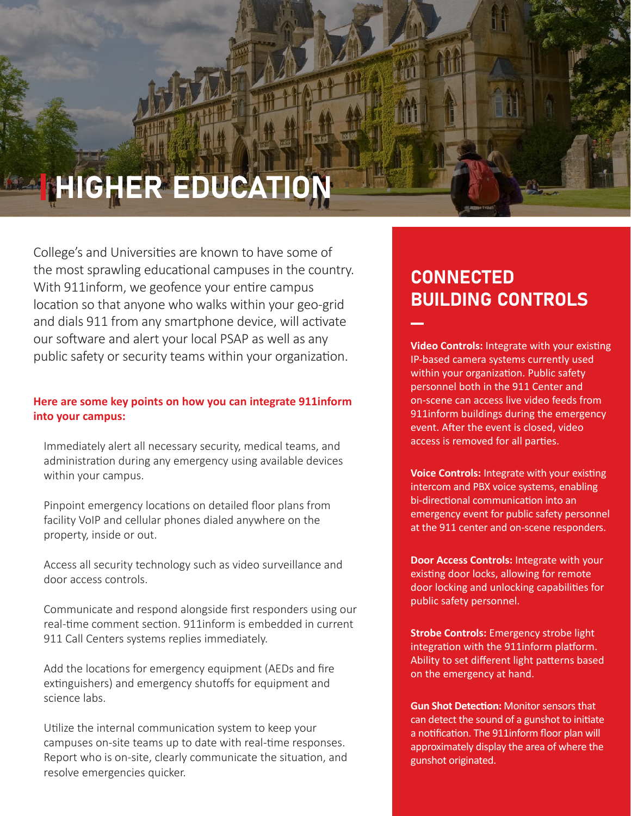# **HIGHER EDUCATION**

College's and Universities are known to have some of the most sprawling educational campuses in the country. With 911inform, we geofence your entire campus location so that anyone who walks within your geo-grid and dials 911 from any smartphone device, will activate our software and alert your local PSAP as well as any public safety or security teams within your organization.

### **Here are some key points on how you can integrate 911inform into your campus:**

Immediately alert all necessary security, medical teams, and administration during any emergency using available devices within your campus.

Pinpoint emergency locations on detailed floor plans from facility VoIP and cellular phones dialed anywhere on the property, inside or out.

Access all security technology such as video surveillance and door access controls.

Communicate and respond alongside first responders using our real-time comment section. 911inform is embedded in current 911 Call Centers systems replies immediately.

Add the locations for emergency equipment (AEDs and fire extinguishers) and emergency shutoffs for equipment and science labs.

Utilize the internal communication system to keep your campuses on-site teams up to date with real-time responses. Report who is on-site, clearly communicate the situation, and resolve emergencies quicker.

## **CONNECTED** BUILDING CONTROLS

**Video Controls:** Integrate with your existing IP-based camera systems currently used within your organization. Public safety personnel both in the 911 Center and on-scene can access live video feeds from 911inform buildings during the emergency event. After the event is closed, video access is removed for all parties.

**Voice Controls:** Integrate with your existing intercom and PBX voice systems, enabling bi-directional communication into an emergency event for public safety personnel at the 911 center and on-scene responders.

**Door Access Controls:** Integrate with your existing door locks, allowing for remote door locking and unlocking capabilities for public safety personnel.

**Strobe Controls:** Emergency strobe light integration with the 911inform platform. Ability to set different light patterns based on the emergency at hand.

**Gun Shot Detection:** Monitor sensors that can detect the sound of a gunshot to initiate a notification. The 911inform floor plan will approximately display the area of where the gunshot originated.